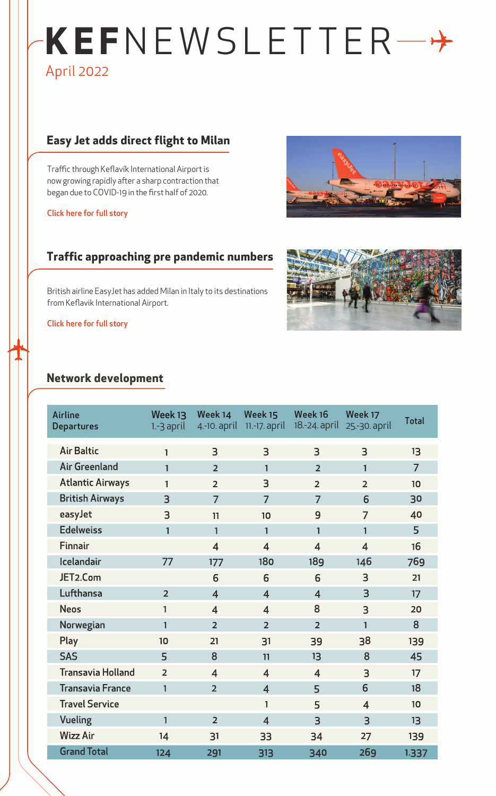# **KEF**NEWSLETTER April 2022

## **Easy Jet adds direct flight to Milan**

Traffic through Keflavík International Airport is now growing rapidly after a sharp contraction that began due to COVID-19 in the first half of 2020.

[Click here for full story](https://www.isavia.is/en/corporate/news-and-media/news/easyjet-adds-direct-flight-to-milan)

### **Traffic approaching pre pandemic numbers**

British airline EasyJet has added Milan in Italy to its destinations from Keflavik International Airport.

[Click here for full story](https://www.isavia.is/en/corporate/news-and-media/news/traffic-at-keflavik-airport-approaching-pre-pandemic-numbers)

#### **Network development**





| <b>Airline</b><br><b>Departures</b> | Week 13<br>$1.-3$ april | Week 14<br>4.-10. april | Week 15<br>$11.-17$ . april | Week 16<br>18.-24. april | Week 17<br>25.-30. april | <b>Total</b>   |
|-------------------------------------|-------------------------|-------------------------|-----------------------------|--------------------------|--------------------------|----------------|
| <b>Air Baltic</b>                   | $\mathbf{1}$            | 3                       | 3                           | $\overline{3}$           | 3                        | 13             |
| <b>Air Greenland</b>                | 1                       | $\overline{2}$          | $\mathbf{1}$                | $\overline{2}$           | $\mathbf{1}$             | $\overline{7}$ |
| <b>Atlantic Airways</b>             | $\mathbf{1}$            | $\overline{2}$          | 3                           | $\overline{2}$           | $\overline{2}$           | 10             |
| <b>British Airways</b>              | $\overline{3}$          | $\overline{7}$          | $\overline{7}$              | $\overline{7}$           | 6                        | 30             |
| easyJet                             | 3                       | 11                      | 10                          | 9                        | 7                        | 40             |
| <b>Edelweiss</b>                    | $\mathbf{1}$            | $\mathbf{1}$            | $\mathbf{1}$                | $\mathbf{1}$             | $\mathbf{1}$             | 5              |
| <b>Finnair</b>                      |                         | $\overline{4}$          | $\overline{4}$              | $\overline{4}$           | $\overline{4}$           | 16             |
| Icelandair                          | 77                      | 177                     | 180                         | 189                      | 146                      | 769            |
| JET2.Com                            |                         | 6                       | 6                           | 6                        | 3                        | 21             |
| Lufthansa                           | $\overline{2}$          | $\overline{4}$          | $\overline{4}$              | $\overline{\mathbf{4}}$  | $\overline{3}$           | 17             |
| <b>Neos</b>                         | 1                       | $\overline{4}$          | $\overline{4}$              | 8                        | 3                        | 20             |
| Norwegian                           | $\mathbf{1}$            | $\overline{2}$          | $\overline{2}$              | $\overline{2}$           | $\mathbf{1}$             | 8              |
| Play                                | 10                      | 21                      | 31                          | 39                       | 38                       | 139            |
| <b>SAS</b>                          | 5                       | 8                       | 11                          | 13                       | 8                        | 45             |
| <b>Transavia Holland</b>            | $\overline{2}$          | $\overline{4}$          | $\overline{4}$              | $\overline{4}$           | $\overline{3}$           | 17             |
| <b>Transavia France</b>             | 1                       | $\overline{2}$          | $\overline{4}$              | 5                        | 6                        | 18             |
| <b>Travel Service</b>               |                         |                         | $\mathbf{1}$                | 5                        | $\overline{4}$           | 10             |
| Vueling                             | $\mathbf{1}$            | $\overline{2}$          | $\overline{\mathbf{4}}$     | $\overline{3}$           | $\overline{3}$           | 13             |
| <b>Wizz Air</b>                     | 14                      | 31                      | 33                          | 34                       | 27                       | 139            |
| <b>Grand Total</b>                  | 124                     | 291                     | 313                         | 340                      | 269                      | 1.337          |